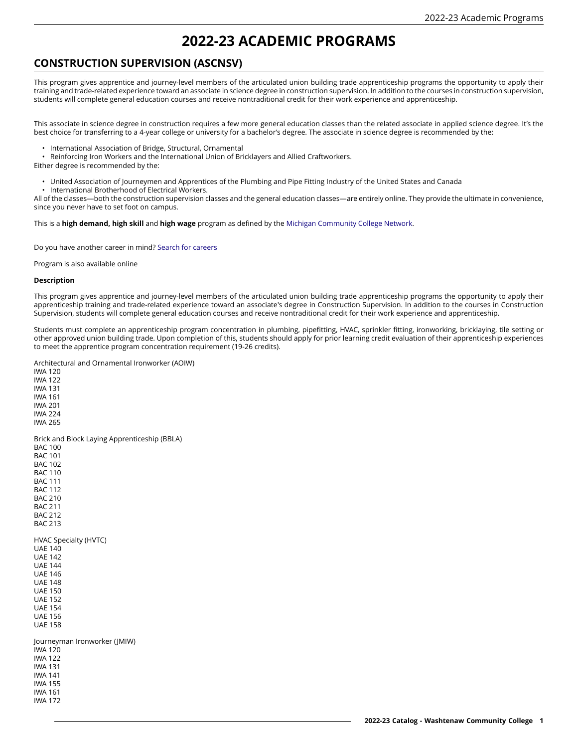# **2022-23 ACADEMIC PROGRAMS**

# **CONSTRUCTION SUPERVISION (ASCNSV)**

This program gives apprentice and journey-level members of the articulated union building trade apprenticeship programs the opportunity to apply their training and trade-related experience toward an associate in science degree in construction supervision. In addition to the courses in construction supervision, students will complete general education courses and receive nontraditional credit for their work experience and apprenticeship.

This associate in science degree in construction requires a few more general education classes than the related associate in applied science degree. It's the best choice for transferring to a 4-year college or university for a bachelor's degree. The associate in science degree is recommended by the:

• International Association of Bridge, Structural, Ornamental

• Reinforcing Iron Workers and the International Union of Bricklayers and Allied Craftworkers.

Either degree is recommended by the:

- United Association of Journeymen and Apprentices of the Plumbing and Pipe Fitting Industry of the United States and Canada
- International Brotherhood of Electrical Workers.

All of the classes—both the construction supervision classes and the general education classes—are entirely online. They provide the ultimate in convenience, since you never have to set foot on campus.

This is a **high demand, high skill** and **high wage** program as defined by the [Michigan Community College Network.](https://michigancc.net)

Do you have another career in mind? Search for [careers](https://wccnet.emsicc.com/?region=Michigan)

Program is also available online

#### **Description**

This program gives apprentice and journey-level members of the articulated union building trade apprenticeship programs the opportunity to apply their apprenticeship training and trade-related experience toward an associate's degree in Construction Supervision. In addition to the courses in Construction Supervision, students will complete general education courses and receive nontraditional credit for their work experience and apprenticeship.

Students must complete an apprenticeship program concentration in plumbing, pipefitting, HVAC, sprinkler fitting, ironworking, bricklaying, tile setting or other approved union building trade. Upon completion of this, students should apply for prior learning credit evaluation of their apprenticeship experiences to meet the apprentice program concentration requirement (19-26 credits).

Architectural and Ornamental Ironworker (AOIW)

IWA 120 IWA 122 IWA 131 IWA 161 IWA 201 IWA 224 IWA 265 Brick and Block Laying Apprenticeship (BBLA) BAC 100 BAC 101 BAC 102 BAC 110 BAC 111 BAC 112 BAC 210 BAC 211 BAC 212 BAC 213 HVAC Specialty (HVTC) UAE 140 UAE 142 UAE 144 UAE 146 UAE 148 UAE 150 UAE 152 UAE 154 UAE 156 UAE 158 Journeyman Ironworker (JMIW) IWA 120 IWA 122 IWA 131 IWA 141 IWA 155 IWA 161 IWA 172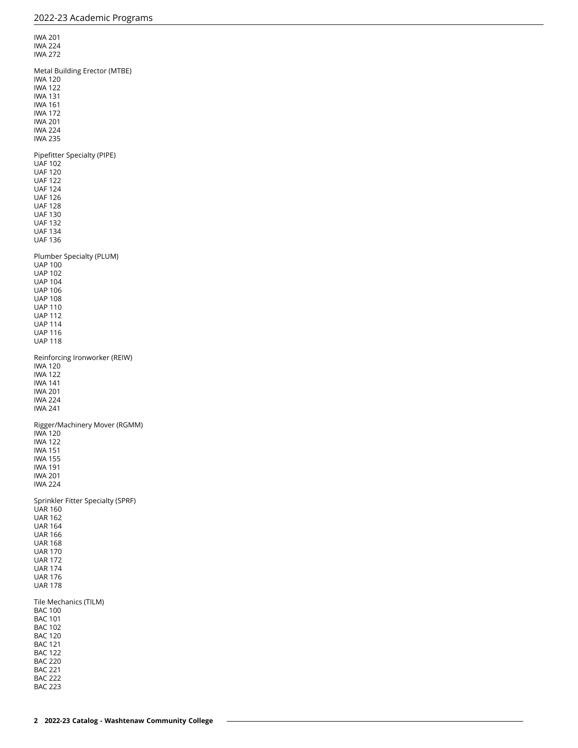IWA 201 IWA 224 IWA 272 Metal Building Erector (MTBE) IWA 120 IWA 122 IWA 131 IWA 161 IWA 172 IWA 201 IWA 224 IWA 235 Pipefitter Specialty (PIPE) UAF 102 UAF 120 UAF 122 UAF 124 UAF 126 UAF 128 UAF 130 UAF 132 UAF 134 UAF 136 Plumber Specialty (PLUM) UAP 100 UAP 102 UAP 104 UAP 106 UAP 108 UAP 110 UAP 112 UAP 114 UAP 116 UAP 118 Reinforcing Ironworker (REIW) IWA 120 IWA 122 IWA 141 IWA 201 IWA 224 IWA 241 Rigger/Machinery Mover (RGMM) IWA 120 IWA 122 IWA 151 IWA 155 IWA 191 IWA 201 IWA 224 Sprinkler Fitter Specialty (SPRF) UAR 160 UAR 162 UAR 164 UAR 166 UAR 168 UAR 170 UAR 172 UAR 174 UAR 176 UAR 178 Tile Mechanics (TILM) BAC 100 BAC 101 BAC 102 BAC 120 BAC 121 BAC 122 BAC 220 BAC 221 BAC 222 BAC 223